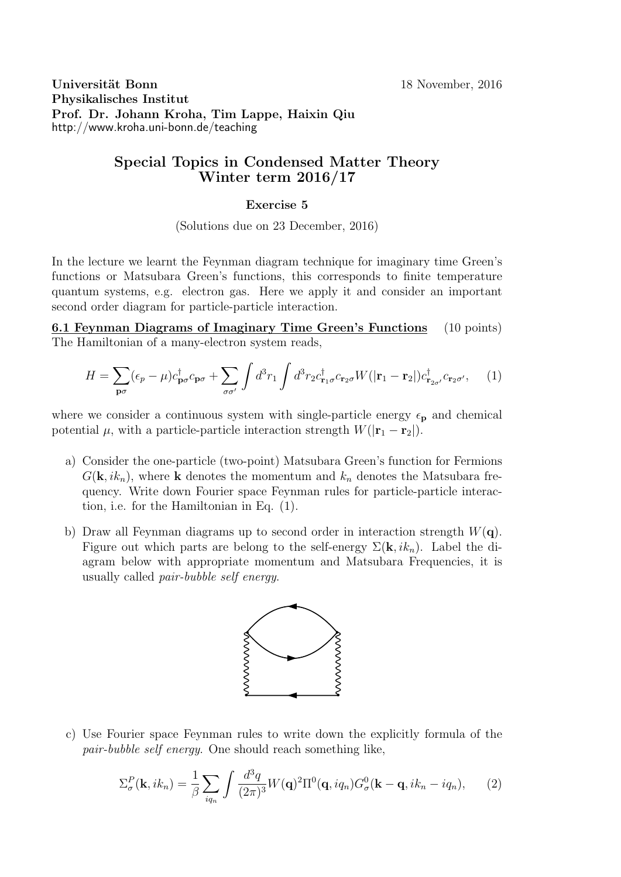Universität Bonn 18 November, 2016 Physikalisches Institut Prof. Dr. Johann Kroha, Tim Lappe, Haixin Qiu http://www.kroha.uni-bonn.de/teaching

### Special Topics in Condensed Matter Theory Winter term 2016/17

#### Exercise 5

(Solutions due on 23 December, 2016)

In the lecture we learnt the Feynman diagram technique for imaginary time Green's functions or Matsubara Green's functions, this corresponds to finite temperature quantum systems, e.g. electron gas. Here we apply it and consider an important second order diagram for particle-particle interaction.

6.1 Feynman Diagrams of Imaginary Time Green's Functions (10 points) The Hamiltonian of a many-electron system reads,

$$
H = \sum_{\mathbf{p}\sigma} (\epsilon_p - \mu) c_{\mathbf{p}\sigma}^\dagger c_{\mathbf{p}\sigma} + \sum_{\sigma\sigma'} \int d^3 r_1 \int d^3 r_2 c_{\mathbf{r}_1\sigma}^\dagger c_{\mathbf{r}_2\sigma} W(|\mathbf{r}_1 - \mathbf{r}_2|) c_{\mathbf{r}_{2\sigma'}}^\dagger c_{\mathbf{r}_2\sigma'}, \tag{1}
$$

where we consider a continuous system with single-particle energy  $\epsilon_{p}$  and chemical potential  $\mu$ , with a particle-particle interaction strength  $W(|\mathbf{r}_1 - \mathbf{r}_2|)$ .

- a) Consider the one-particle (two-point) Matsubara Green's function for Fermions  $G(\mathbf{k}, ik_n)$ , where **k** denotes the momentum and  $k_n$  denotes the Matsubara frequency. Write down Fourier space Feynman rules for particle-particle interaction, i.e. for the Hamiltonian in Eq. (1).
- b) Draw all Feynman diagrams up to second order in interaction strength  $W(\mathbf{q})$ . Figure out which parts are belong to the self-energy  $\Sigma(\mathbf{k}, i k_n)$ . Label the diagram below with appropriate momentum and Matsubara Frequencies, it is usually called pair-bubble self energy.



c) Use Fourier space Feynman rules to write down the explicitly formula of the pair-bubble self energy. One should reach something like,

$$
\Sigma_{\sigma}^{P}(\mathbf{k},ik_{n}) = \frac{1}{\beta} \sum_{iq_{n}} \int \frac{d^{3}q}{(2\pi)^{3}} W(\mathbf{q})^{2} \Pi^{0}(\mathbf{q},iq_{n}) G_{\sigma}^{0}(\mathbf{k}-\mathbf{q},ik_{n}-iq_{n}), \qquad (2)
$$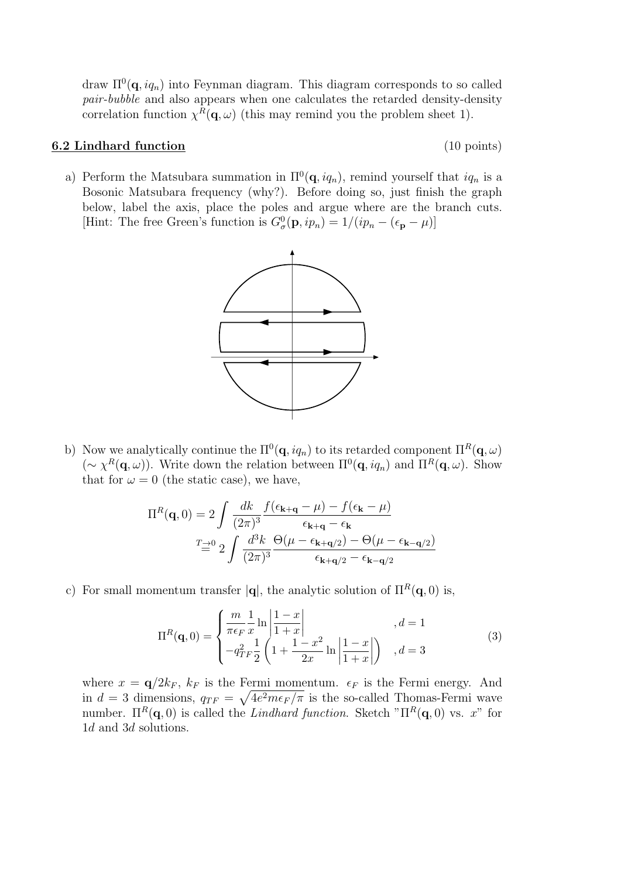draw  $\Pi^0(\mathbf{q}, iq_n)$  into Feynman diagram. This diagram corresponds to so called pair-bubble and also appears when one calculates the retarded density-density correlation function  $\chi^R(\mathbf{q}, \omega)$  (this may remind you the problem sheet 1).

#### 6.2 Lindhard function (10 points)

- 
- a) Perform the Matsubara summation in  $\Pi^0(\mathbf{q}, i q_n)$ , remind yourself that  $i q_n$  is a Bosonic Matsubara frequency (why?). Before doing so, just finish the graph below, label the axis, place the poles and argue where are the branch cuts. [Hint: The free Green's function is  $G^0_{\sigma}(\mathbf{p}, ip_n) = 1/(ip_n - (\epsilon_{\mathbf{p}} - \mu))$ ]



b) Now we analytically continue the  $\Pi^0(\mathbf{q}, i q_n)$  to its retarded component  $\Pi^R(\mathbf{q}, \omega)$  $(\sim \chi^R(\mathbf{q}, \omega))$ . Write down the relation between  $\Pi^0(\mathbf{q}, i q_n)$  and  $\Pi^R(\mathbf{q}, \omega)$ . Show that for  $\omega = 0$  (the static case), we have,

$$
\Pi^{R}(\mathbf{q},0) = 2 \int \frac{dk}{(2\pi)^{3}} \frac{f(\epsilon_{\mathbf{k}+\mathbf{q}}-\mu) - f(\epsilon_{\mathbf{k}}-\mu)}{\epsilon_{\mathbf{k}+\mathbf{q}}-\epsilon_{\mathbf{k}}}
$$

$$
T \stackrel{\rightarrow}{=} 2 \int \frac{d^{3}k}{(2\pi)^{3}} \frac{\Theta(\mu-\epsilon_{\mathbf{k}+\mathbf{q}/2}) - \Theta(\mu-\epsilon_{\mathbf{k}-\mathbf{q}/2})}{\epsilon_{\mathbf{k}+\mathbf{q}/2}-\epsilon_{\mathbf{k}-\mathbf{q}/2}}
$$

c) For small momentum transfer  $|\mathbf{q}|$ , the analytic solution of  $\Pi^R(\mathbf{q},0)$  is,

$$
\Pi^{R}(\mathbf{q},0) = \begin{cases} \frac{m}{\pi\epsilon_{F}} \frac{1}{x} \ln \left| \frac{1-x}{1+x} \right| & , d = 1\\ -q_{TF}^{2} \frac{1}{2} \left( 1 + \frac{1-x^{2}}{2x} \ln \left| \frac{1-x}{1+x} \right| \right) & , d = 3 \end{cases}
$$
(3)

where  $x = q/2k_F$ ,  $k_F$  is the Fermi momentum.  $\epsilon_F$  is the Fermi energy. And in  $d=3$  dimensions,  $q_{TF} = \sqrt{4e^2m\epsilon_F/\pi}$  is the so-called Thomas-Fermi wave number.  $\Pi^R(\mathbf{q},0)$  is called the Lindhard function. Sketch " $\Pi^R(\mathbf{q},0)$  vs. x" for 1d and 3d solutions.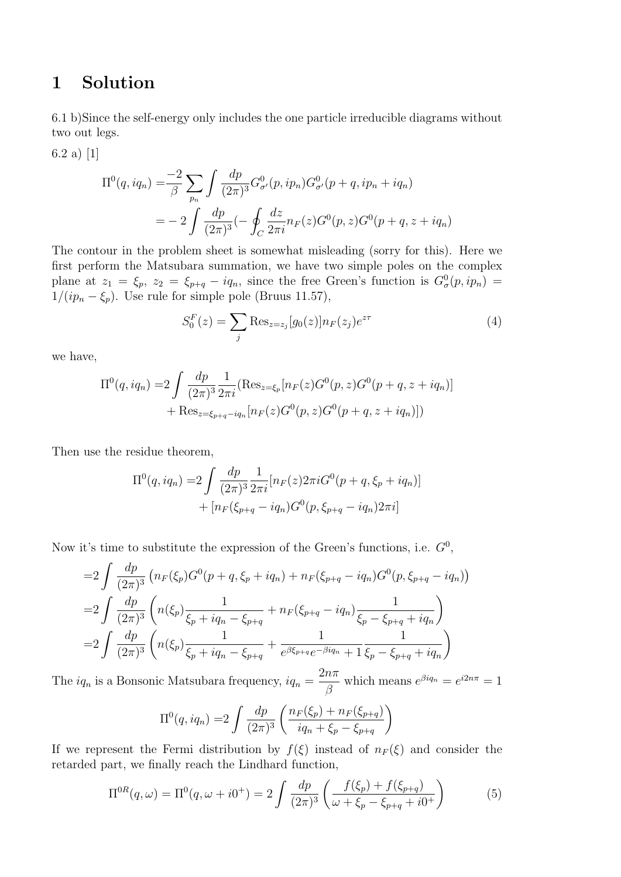## 1 Solution

6.1 b)Since the self-energy only includes the one particle irreducible diagrams without two out legs.

6.2 a) [1]

$$
\Pi^{0}(q, iq_{n}) = \frac{-2}{\beta} \sum_{p_{n}} \int \frac{dp}{(2\pi)^{3}} G_{\sigma}^{0}(p, ip_{n}) G_{\sigma}^{0}(p+q, ip_{n}+iq_{n})
$$
  
= 
$$
-2 \int \frac{dp}{(2\pi)^{3}} (-\oint_{C} \frac{dz}{2\pi i} n_{F}(z) G^{0}(p, z) G^{0}(p+q, z+iq_{n})
$$

The contour in the problem sheet is somewhat misleading (sorry for this). Here we first perform the Matsubara summation, we have two simple poles on the complex plane at  $z_1 = \xi_p$ ,  $z_2 = \xi_{p+q} - iq_n$ , since the free Green's function is  $G^0_{\sigma}(p, ip_n)$  $1/(ip_n - \xi_p)$ . Use rule for simple pole (Bruus 11.57),

$$
S_0^F(z) = \sum_j \text{Res}_{z=z_j} [g_0(z)] n_F(z_j) e^{z\tau}
$$
 (4)

we have,

$$
\Pi^{0}(q, iq_{n}) = 2 \int \frac{dp}{(2\pi)^{3}} \frac{1}{2\pi i} (\text{Res}_{z=\xi_{p}}[n_{F}(z)G^{0}(p,z)G^{0}(p+q,z+iq_{n})]
$$

$$
+ \text{Res}_{z=\xi_{p+q}-iq_{n}}[n_{F}(z)G^{0}(p,z)G^{0}(p+q,z+iq_{n})])
$$

Then use the residue theorem,

$$
\Pi^{0}(q, iq_{n}) = 2 \int \frac{dp}{(2\pi)^{3}} \frac{1}{2\pi i} [n_{F}(z) 2\pi i G^{0}(p+q, \xi_{p} + iq_{n})] + [n_{F}(\xi_{p+q} - iq_{n}) G^{0}(p, \xi_{p+q} - iq_{n}) 2\pi i]
$$

Now it's time to substitute the expression of the Green's functions, i.e.  $G^0$ ,

$$
=2\int \frac{dp}{(2\pi)^3} \left(n_F(\xi_p)G^0(p+q,\xi_p+iq_n)+n_F(\xi_{p+q}-iq_n)G^0(p,\xi_{p+q}-iq_n)\right)
$$
  

$$
=2\int \frac{dp}{(2\pi)^3} \left(n(\xi_p)\frac{1}{\xi_p+iq_n-\xi_{p+q}}+n_F(\xi_{p+q}-iq_n)\frac{1}{\xi_p-\xi_{p+q}+iq_n}\right)
$$
  

$$
=2\int \frac{dp}{(2\pi)^3} \left(n(\xi_p)\frac{1}{\xi_p+iq_n-\xi_{p+q}}+\frac{1}{e^{\beta\xi_{p+q}}e^{-\beta iq_n}+1}\frac{1}{\xi_p-\xi_{p+q}+iq_n}\right)
$$

The  $iq_n$  is a Bonsonic Matsubara frequency,  $iq_n =$  $2n\pi$ β which means  $e^{\beta i q_n} = e^{i 2n\pi} = 1$ 

$$
\Pi^{0}(q, iq_{n}) = 2 \int \frac{dp}{(2\pi)^{3}} \left( \frac{n_{F}(\xi_{p}) + n_{F}(\xi_{p+q})}{iq_{n} + \xi_{p} - \xi_{p+q}} \right)
$$

If we represent the Fermi distribution by  $f(\xi)$  instead of  $n_F(\xi)$  and consider the retarded part, we finally reach the Lindhard function,

$$
\Pi^{0R}(q,\omega) = \Pi^{0}(q,\omega + i0^{+}) = 2 \int \frac{dp}{(2\pi)^{3}} \left( \frac{f(\xi_{p}) + f(\xi_{p+q})}{\omega + \xi_{p} - \xi_{p+q} + i0^{+}} \right)
$$
(5)